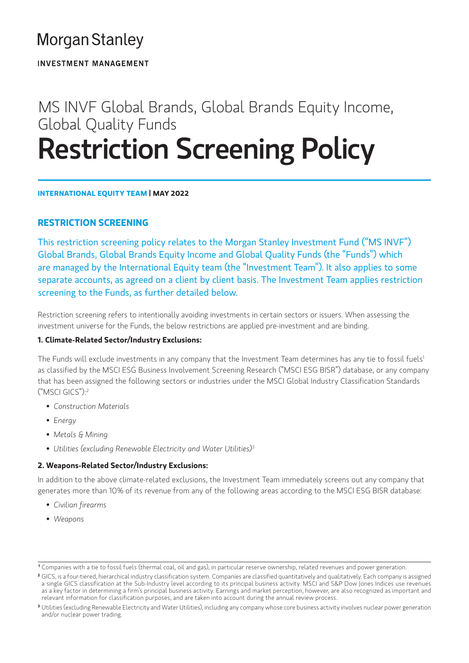# **Morgan Stanley**

**INVESTMENT MANAGEMENT** 

# MS INVF Global Brands, Global Brands Equity Income, Global Quality Funds Restriction Screening Policy

**INTERNATIONAL EQUITY TEAM | MAY 2022**

# **RESTRICTION SCREENING**

This restriction screening policy relates to the Morgan Stanley Investment Fund ("MS INVF") Global Brands, Global Brands Equity Income and Global Quality Funds (the "Funds") which are managed by the International Equity team (the "Investment Team"). It also applies to some separate accounts, as agreed on a client by client basis. The Investment Team applies restriction screening to the Funds, as further detailed below.

Restriction screening refers to intentionally avoiding investments in certain sectors or issuers. When assessing the investment universe for the Funds, the below restrictions are applied pre-investment and are binding.

### **1. Climate-Related Sector/Industry Exclusions:**

The Funds will exclude investments in any company that the Investment Team determines has any tie to fossil fuels<sup>1</sup> as classified by the MSCI ESG Business Involvement Screening Research ("MSCI ESG BISR") database, or any company that has been assigned the following sectors or industries under the MSCI Global Industry Classification Standards ("MSCI GICS"):2

- *Construction Materials*
- *Energy*
- *Metals & Mining*
- *Utilities (excluding Renewable Electricity and Water Utilities)3*

### **2. Weapons-Related Sector/Industry Exclusions:**

In addition to the above climate-related exclusions, the Investment Team immediately screens out any company that generates more than 10% of its revenue from any of the following areas according to the MSCI ESG BISR database:

- *Civilian firearms*
- *Weapons*

**<sup>1</sup>** Companies with a tie to fossil fuels (thermal coal, oil and gas), in particular reserve ownership, related revenues and power generation[.](https://www.ghgprotocol.org)

**<sup>2</sup>** GICS, is a four-tiered, hierarchical industry classification system. Companies are classified quantitatively and qualitatively. Each company is assigned a single GICS classification at the Sub-Industry level according to its principal business activity. MSCI and S&P Dow Jones Indices use revenues as a key factor in determining a firm's principal business activity. Earnings and market perception, however, are also recognized as important and relevant information for classification purposes, and are taken into account during the annual review process.

**<sup>3</sup>** Utilities (excluding Renewable Electricity and Water Utilities), including any company whose core business activity involves nuclear power generation and/or nuclear power trading.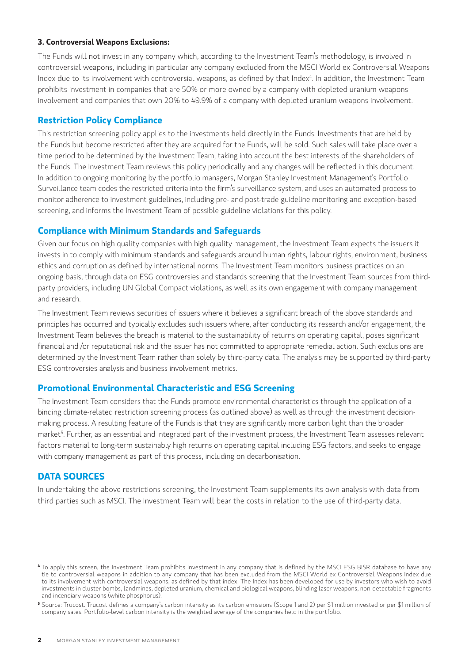#### **3. Controversial Weapons Exclusions:**

The Funds will not invest in any company which, according to the Investment Team's methodology, is involved in controversial weapons, including in particular any company excluded from the MSCI World ex Controversial Weapons Index due to its involvement with controversial weapons, as defined by that Index<sup>4</sup>. In addition, the Investment Team prohibits investment in companies that are 50% or more owned by a company with depleted uranium weapons involvement and companies that own 20% to 49.9% of a company with depleted uranium weapons involvement.

## **Restriction Policy Compliance**

This restriction screening policy applies to the investments held directly in the Funds. Investments that are held by the Funds but become restricted after they are acquired for the Funds, will be sold. Such sales will take place over a time period to be determined by the Investment Team, taking into account the best interests of the shareholders of the Funds. The Investment Team reviews this policy periodically and any changes will be reflected in this document. In addition to ongoing monitoring by the portfolio managers, Morgan Stanley Investment Management's Portfolio Surveillance team codes the restricted criteria into the firm's surveillance system, and uses an automated process to monitor adherence to investment guidelines, including pre- and post-trade guideline monitoring and exception-based screening, and informs the Investment Team of possible guideline violations for this policy.

# **Compliance with Minimum Standards and Safeguards**

Given our focus on high quality companies with high quality management, the Investment Team expects the issuers it invests in to comply with minimum standards and safeguards around human rights, labour rights, environment, business ethics and corruption as defined by international norms. The Investment Team monitors business practices on an ongoing basis, through data on ESG controversies and standards screening that the Investment Team sources from thirdparty providers, including UN Global Compact violations, as well as its own engagement with company management and research.

The Investment Team reviews securities of issuers where it believes a significant breach of the above standards and principles has occurred and typically excludes such issuers where, after conducting its research and/or engagement, the Investment Team believes the breach is material to the sustainability of returns on operating capital, poses significant financial and /or reputational risk and the issuer has not committed to appropriate remedial action. Such exclusions are determined by the Investment Team rather than solely by third-party data. The analysis may be supported by third-party ESG controversies analysis and business involvement metrics.

### **Promotional Environmental Characteristic and ESG Screening**

The Investment Team considers that the Funds promote environmental characteristics through the application of a binding climate-related restriction screening process (as outlined above) as well as through the investment decisionmaking process. A resulting feature of the Funds is that they are significantly more carbon light than the broader market5 . Further, as an essential and integrated part of the investment process, the Investment Team assesses relevant factors material to long-term sustainably high returns on operating capital including ESG factors, and seeks to engage with company management as part of this process, including on decarbonisation.

### **DATA SOURCES**

In undertaking the above restrictions screening, the Investment Team supplements its own analysis with data from third parties such as MSCI. The Investment Team will bear the costs in relation to the use of third-party data.

**<sup>4</sup>** To apply this screen, the Investment Team prohibits investment in any company that is defined by the MSCI ESG BISR database to have any tie to controversial weapons in addition to any company that has been excluded from the MSCI World ex Controversial Weapons Index due to its involvement with controversial weapons, as defined by that index. The Index has been developed for use by investors who wish to avoid investments in cluster bombs, landmines, depleted uranium, chemical and biological weapons, blinding laser weapons, non-detectable fragments and incendiary weapons (white phosphorus).

**<sup>5</sup>** Source: Trucost. Trucost defines a company's carbon intensity as its carbon emissions (Scope 1 and 2) per \$1 million invested or per \$1 million of company sales. Portfolio-level carbon intensity is the weighted average of the companies held in the portfolio.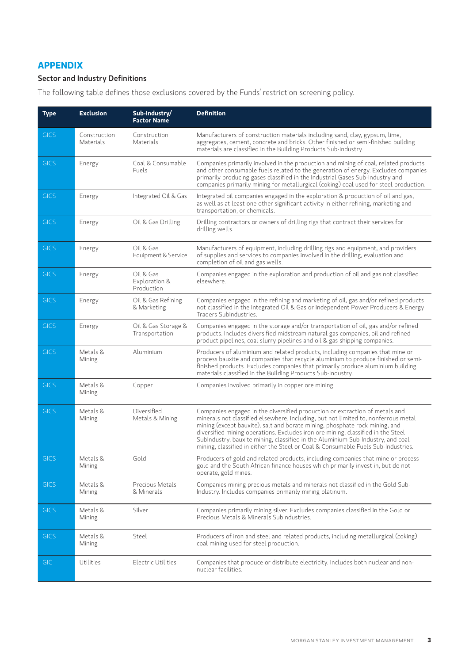#### **APPENDIX**

#### Sector and Industry Definitions

The following table defines those exclusions covered by the Funds' restriction screening policy.

| <b>Type</b> | <b>Exclusion</b>          | Sub-Industry/<br><b>Factor Name</b>      | <b>Definition</b>                                                                                                                                                                                                                                                                                                                                                                                                                                                                                            |
|-------------|---------------------------|------------------------------------------|--------------------------------------------------------------------------------------------------------------------------------------------------------------------------------------------------------------------------------------------------------------------------------------------------------------------------------------------------------------------------------------------------------------------------------------------------------------------------------------------------------------|
| <b>GICS</b> | Construction<br>Materials | Construction<br>Materials                | Manufacturers of construction materials including sand, clay, gypsum, lime,<br>aggregates, cement, concrete and bricks. Other finished or semi-finished building<br>materials are classified in the Building Products Sub-Industry.                                                                                                                                                                                                                                                                          |
| <b>GICS</b> | Energy                    | Coal & Consumable<br>Fuels               | Companies primarily involved in the production and mining of coal, related products<br>and other consumable fuels related to the generation of energy. Excludes companies<br>primarily producing gases classified in the Industrial Gases Sub-Industry and<br>companies primarily mining for metallurgical (coking) coal used for steel production.                                                                                                                                                          |
| <b>GICS</b> | Energy                    | Integrated Oil & Gas                     | Integrated oil companies engaged in the exploration & production of oil and gas,<br>as well as at least one other significant activity in either refining, marketing and<br>transportation, or chemicals.                                                                                                                                                                                                                                                                                                    |
| <b>GICS</b> | Energy                    | Oil & Gas Drilling                       | Drilling contractors or owners of drilling rigs that contract their services for<br>drilling wells.                                                                                                                                                                                                                                                                                                                                                                                                          |
| <b>GICS</b> | Energy                    | Oil & Gas<br>Equipment & Service         | Manufacturers of equipment, including drilling rigs and equipment, and providers<br>of supplies and services to companies involved in the drilling, evaluation and<br>completion of oil and gas wells.                                                                                                                                                                                                                                                                                                       |
| <b>GICS</b> | Energy                    | Oil & Gas<br>Exploration &<br>Production | Companies engaged in the exploration and production of oil and gas not classified<br>elsewhere.                                                                                                                                                                                                                                                                                                                                                                                                              |
| <b>GICS</b> | Energy                    | Oil & Gas Refining<br>& Marketing        | Companies engaged in the refining and marketing of oil, gas and/or refined products<br>not classified in the Integrated Oil & Gas or Independent Power Producers & Energy<br>Traders SubIndustries.                                                                                                                                                                                                                                                                                                          |
| <b>GICS</b> | Energy                    | Oil & Gas Storage &<br>Transportation    | Companies engaged in the storage and/or transportation of oil, gas and/or refined<br>products. Includes diversified midstream natural gas companies, oil and refined<br>product pipelines, coal slurry pipelines and oil & gas shipping companies.                                                                                                                                                                                                                                                           |
| <b>GICS</b> | Metals &<br>Mining        | Aluminium                                | Producers of aluminium and related products, including companies that mine or<br>process bauxite and companies that recycle aluminium to produce finished or semi-<br>finished products. Excludes companies that primarily produce aluminium building<br>materials classified in the Building Products Sub-Industry.                                                                                                                                                                                         |
| <b>GICS</b> | Metals &<br>Mining        | Copper                                   | Companies involved primarily in copper ore mining.                                                                                                                                                                                                                                                                                                                                                                                                                                                           |
| <b>GICS</b> | Metals &<br>Mining        | Diversified<br>Metals & Mining           | Companies engaged in the diversified production or extraction of metals and<br>minerals not classified elsewhere. Including, but not limited to, nonferrous metal<br>mining (except bauxite), salt and borate mining, phosphate rock mining, and<br>diversified mining operations. Excludes iron ore mining, classified in the Steel<br>SubIndustry, bauxite mining, classified in the Aluminium Sub-Industry, and coal<br>mining, classified in either the Steel or Coal & Consumable Fuels Sub-Industries. |
| <b>GICS</b> | Metals &<br>Mining        | Gold                                     | Producers of gold and related products, including companies that mine or process<br>gold and the South African finance houses which primarily invest in, but do not<br>operate, gold mines.                                                                                                                                                                                                                                                                                                                  |
| <b>GICS</b> | Metals &<br>Mining        | Precious Metals<br>& Minerals            | Companies mining precious metals and minerals not classified in the Gold Sub-<br>Industry. Includes companies primarily mining platinum.                                                                                                                                                                                                                                                                                                                                                                     |
| <b>GICS</b> | Metals &<br>Mining        | Silver                                   | Companies primarily mining silver. Excludes companies classified in the Gold or<br>Precious Metals & Minerals SubIndustries.                                                                                                                                                                                                                                                                                                                                                                                 |
| <b>GICS</b> | Metals &<br>Mining        | Steel                                    | Producers of iron and steel and related products, including metallurgical (coking)<br>coal mining used for steel production.                                                                                                                                                                                                                                                                                                                                                                                 |
| <b>GIC</b>  | Utilities                 | <b>Electric Utilities</b>                | Companies that produce or distribute electricity. Includes both nuclear and non-<br>nuclear facilities.                                                                                                                                                                                                                                                                                                                                                                                                      |